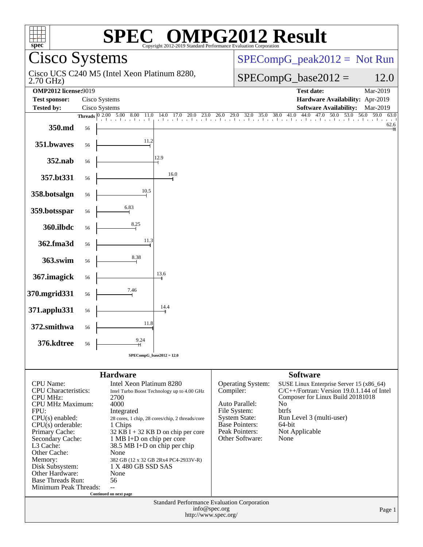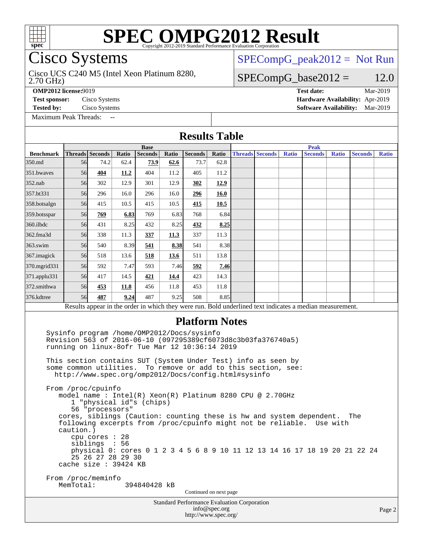

# **[SPEC OMPG2012 Result](http://www.spec.org/auto/omp2012/Docs/result-fields.html#SPECOMPG2012Result)**

## Cisco Systems

## [SPECompG\\_peak2012 =](http://www.spec.org/auto/omp2012/Docs/result-fields.html#SPECompGpeak2012) Not Run

Cisco UCS C240 M5 (Intel Xeon Platinum 8280,

 $SPECompG_base2012 = 12.0$  $SPECompG_base2012 = 12.0$ 

2.70 GHz)

**[OMP2012 license:](http://www.spec.org/auto/omp2012/Docs/result-fields.html#OMP2012license)**9019 **[Test date:](http://www.spec.org/auto/omp2012/Docs/result-fields.html#Testdate)** Mar-2019

**[Test sponsor:](http://www.spec.org/auto/omp2012/Docs/result-fields.html#Testsponsor)** Cisco Systems **[Hardware Availability:](http://www.spec.org/auto/omp2012/Docs/result-fields.html#HardwareAvailability)** Apr-2019 **[Tested by:](http://www.spec.org/auto/omp2012/Docs/result-fields.html#Testedby)** Cisco Systems **[Software Availability:](http://www.spec.org/auto/omp2012/Docs/result-fields.html#SoftwareAvailability)** Mar-2019

[Maximum Peak Threads:](http://www.spec.org/auto/omp2012/Docs/result-fields.html#MaximumPeakThreads) --

| <b>Results Table</b> |  |
|----------------------|--|
|----------------------|--|

|                  |                        |                                                                                                                                                                                                                                                                                                                                                                                                                                                                                                                                                          |       | <b>Base</b>    |       |                                                                 |                        | <b>Peak</b> |                        |              |                                                                                                                                                                                                                             |              |                |              |
|------------------|------------------------|----------------------------------------------------------------------------------------------------------------------------------------------------------------------------------------------------------------------------------------------------------------------------------------------------------------------------------------------------------------------------------------------------------------------------------------------------------------------------------------------------------------------------------------------------------|-------|----------------|-------|-----------------------------------------------------------------|------------------------|-------------|------------------------|--------------|-----------------------------------------------------------------------------------------------------------------------------------------------------------------------------------------------------------------------------|--------------|----------------|--------------|
| <b>Benchmark</b> |                        | <b>Threads</b> Seconds                                                                                                                                                                                                                                                                                                                                                                                                                                                                                                                                   | Ratio | <b>Seconds</b> | Ratio | <b>Seconds</b>                                                  | Ratio                  |             | <b>Threads Seconds</b> | <b>Ratio</b> | <b>Seconds</b>                                                                                                                                                                                                              | <b>Ratio</b> | <b>Seconds</b> | <b>Ratio</b> |
| 350.md           | 56                     | 74.2                                                                                                                                                                                                                                                                                                                                                                                                                                                                                                                                                     | 62.4  | 73.9           | 62.6  | 73.7                                                            | 62.8                   |             |                        |              |                                                                                                                                                                                                                             |              |                |              |
| 351.bwayes       | 56 <sup>I</sup>        | 404                                                                                                                                                                                                                                                                                                                                                                                                                                                                                                                                                      | 11.2  | 404            | 11.2  | 405                                                             | 11.2                   |             |                        |              |                                                                                                                                                                                                                             |              |                |              |
| 352.nab          | 56                     | 302                                                                                                                                                                                                                                                                                                                                                                                                                                                                                                                                                      | 12.9  | 301            | 12.9  | 302                                                             | 12.9                   |             |                        |              |                                                                                                                                                                                                                             |              |                |              |
| 357.bt331        | 56                     | 296                                                                                                                                                                                                                                                                                                                                                                                                                                                                                                                                                      | 16.0  | 296            | 16.0  | 296                                                             | 16.0                   |             |                        |              |                                                                                                                                                                                                                             |              |                |              |
| 358.botsalgn     | 56                     | 415                                                                                                                                                                                                                                                                                                                                                                                                                                                                                                                                                      | 10.5  | 415            | 10.5  | 415                                                             | 10.5                   |             |                        |              |                                                                                                                                                                                                                             |              |                |              |
| 359.botsspar     | 56 <sup>I</sup>        | 769                                                                                                                                                                                                                                                                                                                                                                                                                                                                                                                                                      | 6.83  | 769            | 6.83  | 768                                                             | 6.84                   |             |                        |              |                                                                                                                                                                                                                             |              |                |              |
| $360$ .ilbdc     | 56                     | 431                                                                                                                                                                                                                                                                                                                                                                                                                                                                                                                                                      | 8.25  | 432            | 8.25  | 432                                                             | 8.25                   |             |                        |              |                                                                                                                                                                                                                             |              |                |              |
| 362.fma3d        | 56                     | 338                                                                                                                                                                                                                                                                                                                                                                                                                                                                                                                                                      | 11.3  | 337            | 11.3  | 337                                                             | 11.3                   |             |                        |              |                                                                                                                                                                                                                             |              |                |              |
| $363$ .swim      | 56                     | 540                                                                                                                                                                                                                                                                                                                                                                                                                                                                                                                                                      | 8.39  | 541            | 8.38  | 541                                                             | 8.38                   |             |                        |              |                                                                                                                                                                                                                             |              |                |              |
| 367.imagick      | 56 <sup>I</sup>        | 518                                                                                                                                                                                                                                                                                                                                                                                                                                                                                                                                                      | 13.6  | 518            | 13.6  | 511                                                             | 13.8                   |             |                        |              |                                                                                                                                                                                                                             |              |                |              |
| 370.mgrid331     | 56                     | 592                                                                                                                                                                                                                                                                                                                                                                                                                                                                                                                                                      | 7.47  | 593            | 7.46  | 592                                                             | 7.46                   |             |                        |              |                                                                                                                                                                                                                             |              |                |              |
| 371.applu331     | 56                     | 417                                                                                                                                                                                                                                                                                                                                                                                                                                                                                                                                                      | 14.5  | 421            | 14.4  | 423                                                             | 14.3                   |             |                        |              |                                                                                                                                                                                                                             |              |                |              |
| 372.smithwa      | 56                     | 453                                                                                                                                                                                                                                                                                                                                                                                                                                                                                                                                                      | 11.8  | 456            | 11.8  | 453                                                             | 11.8                   |             |                        |              |                                                                                                                                                                                                                             |              |                |              |
| 376.kdtree       | 56                     | 487                                                                                                                                                                                                                                                                                                                                                                                                                                                                                                                                                      | 9.24  | 487            | 9.25  | 508                                                             | 8.85                   |             |                        |              |                                                                                                                                                                                                                             |              |                |              |
|                  |                        |                                                                                                                                                                                                                                                                                                                                                                                                                                                                                                                                                          |       |                |       |                                                                 |                        |             |                        |              | Results appear in the order in which they were run. Bold underlined text indicates a median measurement.                                                                                                                    |              |                |              |
|                  | caution.)<br>MemTotal: | Sysinfo program /home/OMP2012/Docs/sysinfo<br>Revision 563 of 2016-06-10 (097295389cf6073d8c3b03fa376740a5)<br>running on linux-8ofr Tue Mar 12 10:36:14 2019<br>This section contains SUT (System Under Test) info as seen by<br>some common utilities.<br>http://www.spec.org/omp2012/Docs/config.html#sysinfo<br>From /proc/cpuinfo<br>model name : Intel(R) Xeon(R) Platinum 8280 CPU @ 2.70GHz<br>1 "physical id"s (chips)<br>56 "processors"<br>cpu cores : 28<br>siblings : 56<br>25 26 27 28 29 30<br>cache size: 39424 KB<br>From /proc/meminfo |       | 394840428 kB   |       | <b>Platform Notes</b><br>To remove or add to this section, see: | Continued on next page |             |                        |              | cores, siblings (Caution: counting these is hw and system dependent.<br>following excerpts from /proc/cpuinfo might not be reliable. Use with<br>physical 0: cores 0 1 2 3 4 5 6 8 9 10 11 12 13 14 16 17 18 19 20 21 22 24 |              | The            |              |
|                  |                        |                                                                                                                                                                                                                                                                                                                                                                                                                                                                                                                                                          |       |                |       | <b>Standard Performance Evaluation Corporation</b>              | info@spec.org          |             |                        |              |                                                                                                                                                                                                                             |              |                | Page 2       |
|                  |                        |                                                                                                                                                                                                                                                                                                                                                                                                                                                                                                                                                          |       |                |       |                                                                 | http://www.spec.org/   |             |                        |              |                                                                                                                                                                                                                             |              |                |              |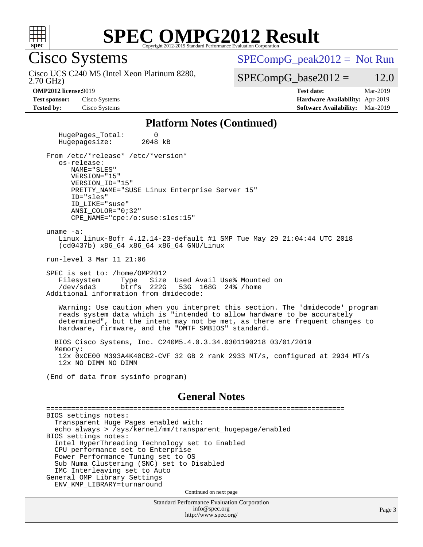

# **[SPEC OMPG2012 Result](http://www.spec.org/auto/omp2012/Docs/result-fields.html#SPECOMPG2012Result)**

Cisco Systems

 $SPECompG_peak2012 = Not Run$  $SPECompG_peak2012 = Not Run$ 

2.70 GHz) Cisco UCS C240 M5 (Intel Xeon Platinum 8280,

 $SPECompG_base2012 = 12.0$  $SPECompG_base2012 = 12.0$ 

**[Test sponsor:](http://www.spec.org/auto/omp2012/Docs/result-fields.html#Testsponsor)** Cisco Systems **[Hardware Availability:](http://www.spec.org/auto/omp2012/Docs/result-fields.html#HardwareAvailability)** Apr-2019

**[OMP2012 license:](http://www.spec.org/auto/omp2012/Docs/result-fields.html#OMP2012license)**9019 **[Test date:](http://www.spec.org/auto/omp2012/Docs/result-fields.html#Testdate)** Mar-2019 **[Tested by:](http://www.spec.org/auto/omp2012/Docs/result-fields.html#Testedby)** Cisco Systems **[Software Availability:](http://www.spec.org/auto/omp2012/Docs/result-fields.html#SoftwareAvailability)** Mar-2019

#### **[Platform Notes \(Continued\)](http://www.spec.org/auto/omp2012/Docs/result-fields.html#PlatformNotes)**

HugePages\_Total: 0<br>Hugepagesize: 2048 kB Hugepagesize: From /etc/\*release\* /etc/\*version\* os-release: NAME="SLES" VERSION="15" VERSION\_ID="15" PRETTY\_NAME="SUSE Linux Enterprise Server 15" ID="sles" ID\_LIKE="suse" ANSI\_COLOR="0;32" CPE\_NAME="cpe:/o:suse:sles:15" uname -a: Linux linux-8ofr 4.12.14-23-default #1 SMP Tue May 29 21:04:44 UTC 2018 (cd0437b) x86\_64 x86\_64 x86\_64 GNU/Linux run-level 3 Mar 11 21:06 SPEC is set to: /home/OMP2012 Filesystem Type Size Used Avail Use% Mounted on<br>
/dev/sda3 btrfs 222G 53G 168G 24% /home /dev/sda3 btrfs 222G 53G 168G 24% /home Additional information from dmidecode: Warning: Use caution when you interpret this section. The 'dmidecode' program reads system data which is "intended to allow hardware to be accurately determined", but the intent may not be met, as there are frequent changes to hardware, firmware, and the "DMTF SMBIOS" standard. BIOS Cisco Systems, Inc. C240M5.4.0.3.34.0301190218 03/01/2019 Memory: 12x 0xCE00 M393A4K40CB2-CVF 32 GB 2 rank 2933 MT/s, configured at 2934 MT/s 12x NO DIMM NO DIMM (End of data from sysinfo program) **[General Notes](http://www.spec.org/auto/omp2012/Docs/result-fields.html#GeneralNotes)** ======================================================================== BIOS settings notes: Transparent Huge Pages enabled with:

 echo always > /sys/kernel/mm/transparent\_hugepage/enabled BIOS settings notes: Intel HyperThreading Technology set to Enabled CPU performance set to Enterprise Power Performance Tuning set to OS Sub Numa Clustering (SNC) set to Disabled IMC Interleaving set to Auto General OMP Library Settings ENV\_KMP\_LIBRARY=turnaround Continued on next page

Standard Performance Evaluation Corporation [info@spec.org](mailto:info@spec.org) <http://www.spec.org/>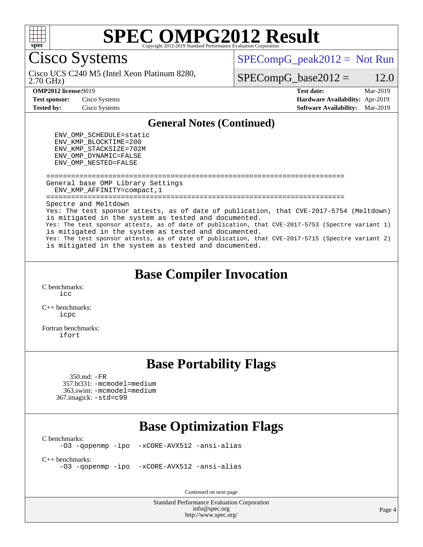

# **[SPEC OMPG2012 Result](http://www.spec.org/auto/omp2012/Docs/result-fields.html#SPECOMPG2012Result)**

Cisco Systems

 $SPECompG_peak2012 = Not Run$  $SPECompG_peak2012 = Not Run$ 

2.70 GHz) Cisco UCS C240 M5 (Intel Xeon Platinum 8280,

 $SPECompG_base2012 = 12.0$  $SPECompG_base2012 = 12.0$ 

**[Test sponsor:](http://www.spec.org/auto/omp2012/Docs/result-fields.html#Testsponsor)** Cisco Systems **[Hardware Availability:](http://www.spec.org/auto/omp2012/Docs/result-fields.html#HardwareAvailability)** Apr-2019

**[OMP2012 license:](http://www.spec.org/auto/omp2012/Docs/result-fields.html#OMP2012license)**9019 **[Test date:](http://www.spec.org/auto/omp2012/Docs/result-fields.html#Testdate)** Mar-2019 **[Tested by:](http://www.spec.org/auto/omp2012/Docs/result-fields.html#Testedby)** Cisco Systems **[Software Availability:](http://www.spec.org/auto/omp2012/Docs/result-fields.html#SoftwareAvailability)** Mar-2019

### **[General Notes \(Continued\)](http://www.spec.org/auto/omp2012/Docs/result-fields.html#GeneralNotes)**

 ENV\_OMP\_SCHEDULE=static ENV\_KMP\_BLOCKTIME=200 ENV\_KMP\_STACKSIZE=702M ENV\_OMP\_DYNAMIC=FALSE ENV\_OMP\_NESTED=FALSE

 ======================================================================== General base OMP Library Settings ENV\_KMP\_AFFINITY=compact,1 ======================================================================== Spectre and Meltdown Yes: The test sponsor attests, as of date of publication, that CVE-2017-5754 (Meltdown) is mitigated in the system as tested and documented. Yes: The test sponsor attests, as of date of publication, that CVE-2017-5753 (Spectre variant 1) is mitigated in the system as tested and documented. Yes: The test sponsor attests, as of date of publication, that CVE-2017-5715 (Spectre variant 2) is mitigated in the system as tested and documented.

## **[Base Compiler Invocation](http://www.spec.org/auto/omp2012/Docs/result-fields.html#BaseCompilerInvocation)**

[C benchmarks](http://www.spec.org/auto/omp2012/Docs/result-fields.html#Cbenchmarks): [icc](http://www.spec.org/omp2012/results/res2019q2/omp2012-20190313-00172.flags.html#user_CCbase_intel_icc_a87c68a857bc5ec5362391a49d3a37a6)

[C++ benchmarks:](http://www.spec.org/auto/omp2012/Docs/result-fields.html#CXXbenchmarks) [icpc](http://www.spec.org/omp2012/results/res2019q2/omp2012-20190313-00172.flags.html#user_CXXbase_intel_icpc_2d899f8d163502b12eb4a60069f80c1c)

[Fortran benchmarks](http://www.spec.org/auto/omp2012/Docs/result-fields.html#Fortranbenchmarks): [ifort](http://www.spec.org/omp2012/results/res2019q2/omp2012-20190313-00172.flags.html#user_FCbase_intel_ifort_8a5e5e06b19a251bdeaf8fdab5d62f20)

## **[Base Portability Flags](http://www.spec.org/auto/omp2012/Docs/result-fields.html#BasePortabilityFlags)**

 350.md: [-FR](http://www.spec.org/omp2012/results/res2019q2/omp2012-20190313-00172.flags.html#user_baseFPORTABILITY350_md_f-FR) 357.bt331: [-mcmodel=medium](http://www.spec.org/omp2012/results/res2019q2/omp2012-20190313-00172.flags.html#user_basePORTABILITY357_bt331_f-mcmodel_3a41622424bdd074c4f0f2d2f224c7e5) 363.swim: [-mcmodel=medium](http://www.spec.org/omp2012/results/res2019q2/omp2012-20190313-00172.flags.html#user_basePORTABILITY363_swim_f-mcmodel_3a41622424bdd074c4f0f2d2f224c7e5) 367.imagick: [-std=c99](http://www.spec.org/omp2012/results/res2019q2/omp2012-20190313-00172.flags.html#user_baseCPORTABILITY367_imagick_f-std_2ec6533b6e06f1c4a6c9b78d9e9cde24)

## **[Base Optimization Flags](http://www.spec.org/auto/omp2012/Docs/result-fields.html#BaseOptimizationFlags)**

[C benchmarks](http://www.spec.org/auto/omp2012/Docs/result-fields.html#Cbenchmarks):

[-O3](http://www.spec.org/omp2012/results/res2019q2/omp2012-20190313-00172.flags.html#user_CCbase_f-O3) [-qopenmp](http://www.spec.org/omp2012/results/res2019q2/omp2012-20190313-00172.flags.html#user_CCbase_f-qopenmp) [-ipo](http://www.spec.org/omp2012/results/res2019q2/omp2012-20190313-00172.flags.html#user_CCbase_f-ipo_84062ab53814f613187d02344b8f49a7) [-xCORE-AVX512](http://www.spec.org/omp2012/results/res2019q2/omp2012-20190313-00172.flags.html#user_CCbase_f-xCORE-AVX512) [-ansi-alias](http://www.spec.org/omp2012/results/res2019q2/omp2012-20190313-00172.flags.html#user_CCbase_f-ansi-alias)

[C++ benchmarks:](http://www.spec.org/auto/omp2012/Docs/result-fields.html#CXXbenchmarks)

[-O3](http://www.spec.org/omp2012/results/res2019q2/omp2012-20190313-00172.flags.html#user_CXXbase_f-O3) [-qopenmp](http://www.spec.org/omp2012/results/res2019q2/omp2012-20190313-00172.flags.html#user_CXXbase_f-qopenmp) [-ipo](http://www.spec.org/omp2012/results/res2019q2/omp2012-20190313-00172.flags.html#user_CXXbase_f-ipo_84062ab53814f613187d02344b8f49a7) [-xCORE-AVX512](http://www.spec.org/omp2012/results/res2019q2/omp2012-20190313-00172.flags.html#user_CXXbase_f-xCORE-AVX512) [-ansi-alias](http://www.spec.org/omp2012/results/res2019q2/omp2012-20190313-00172.flags.html#user_CXXbase_f-ansi-alias)

Continued on next page

Standard Performance Evaluation Corporation [info@spec.org](mailto:info@spec.org) <http://www.spec.org/>